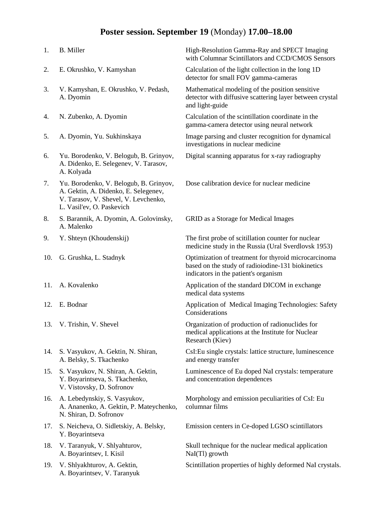## **Poster session. September 19** (Monday) **17.00–18.00**

| 1.  | <b>B.</b> Miller                                                                                                                                    | High-Resolution Gamma-Ray and SPECT Imaging<br>with Columnar Scintillators and CCD/CMOS Sensors                                                   |
|-----|-----------------------------------------------------------------------------------------------------------------------------------------------------|---------------------------------------------------------------------------------------------------------------------------------------------------|
| 2.  | E. Okrushko, V. Kamyshan                                                                                                                            | Calculation of the light collection in the long 1D<br>detector for small FOV gamma-cameras                                                        |
| 3.  | V. Kamyshan, E. Okrushko, V. Pedash,<br>A. Dyomin                                                                                                   | Mathematical modeling of the position sensitive<br>detector with diffusive scattering layer between crystal<br>and light-guide                    |
| 4.  | N. Zubenko, A. Dyomin                                                                                                                               | Calculation of the scintillation coordinate in the<br>gamma-camera detector using neural network                                                  |
| 5.  | A. Dyomin, Yu. Sukhinskaya                                                                                                                          | Image parsing and cluster recognition for dynamical<br>investigations in nuclear medicine                                                         |
| 6.  | Yu. Borodenko, V. Belogub, B. Grinyov,<br>A. Didenko, E. Selegenev, V. Tarasov,<br>A. Kolyada                                                       | Digital scanning apparatus for x-ray radiography                                                                                                  |
| 7.  | Yu. Borodenko, V. Belogub, B. Grinyov,<br>A. Gektin, A. Didenko, E. Selegenev,<br>V. Tarasov, V. Shevel, V. Levchenko,<br>L. Vasil'ev, O. Paskevich | Dose calibration device for nuclear medicine                                                                                                      |
| 8.  | S. Barannik, A. Dyomin, A. Golovinsky,<br>A. Malenko                                                                                                | <b>GRID</b> as a Storage for Medical Images                                                                                                       |
| 9.  | Y. Shteyn (Khoudenskij)                                                                                                                             | The first probe of scitillation counter for nuclear<br>medicine study in the Russia (Ural Sverdlovsk 1953)                                        |
| 10. | G. Grushka, L. Stadnyk                                                                                                                              | Optimization of treatment for thyroid microcarcinoma<br>based on the study of radioiodine-131 biokinetics<br>indicators in the patient's organism |
| 11. | A. Kovalenko                                                                                                                                        | Application of the standard DICOM in exchange<br>medical data systems                                                                             |
| 12. | E. Bodnar                                                                                                                                           | Application of Medical Imaging Technologies: Safety<br>Considerations                                                                             |
|     | 13. V. Trishin, V. Shevel                                                                                                                           | Organization of production of radionuclides for<br>medical applications at the Institute for Nuclear<br>Research (Kiev)                           |
| 14. | S. Vasyukov, A. Gektin, N. Shiran,<br>A. Belsky, S. Tkachenko                                                                                       | CsI: Eu single crystals: lattice structure, luminescence<br>and energy transfer                                                                   |
| 15. | S. Vasyukov, N. Shiran, A. Gektin,<br>Y. Boyarintseva, S. Tkachenko,<br>V. Vistovsky, D. Sofronov                                                   | Luminescence of Eu doped NaI crystals: temperature<br>and concentration dependences                                                               |
| 16. | A. Lebedynskiy, S. Vasyukov,<br>A. Ananenko, A. Gektin, P. Mateychenko,<br>N. Shiran, D. Sofronov                                                   | Morphology and emission peculiarities of CsI: Eu<br>columnar films                                                                                |
| 17. | S. Neicheva, O. Sidletskiy, A. Belsky,<br>Y. Boyarintseva                                                                                           | Emission centers in Ce-doped LGSO scintillators                                                                                                   |
| 18. | V. Taranyuk, V. Shlyahturov,<br>A. Boyarintsev, I. Kisil                                                                                            | Skull technique for the nuclear medical application<br>NaI(Tl) growth                                                                             |
| 19. | V. Shlyakhturov, A. Gektin,<br>A. Boyarintsev, V. Taranyuk                                                                                          | Scintillation properties of highly deformed NaI crystals.                                                                                         |